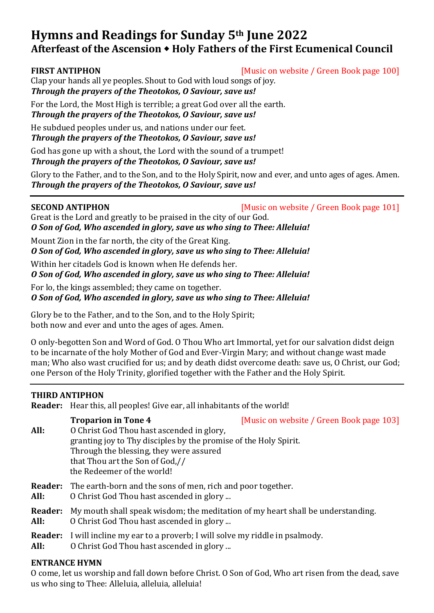# **Hymns and Readings for Sunday 5th June 2022 Afterfeast of the Ascension Holy Fathers of the First Ecumenical Council**

**FIRST ANTIPHON** [Music on website / Green Book page 100]

Clap your hands all ye peoples. Shout to God with loud songs of joy. *Through the prayers of the Theotokos, O Saviour, save us!*

For the Lord, the Most High is terrible; a great God over all the earth. *Through the prayers of the Theotokos, O Saviour, save us!*

He subdued peoples under us, and nations under our feet. *Through the prayers of the Theotokos, O Saviour, save us!*

God has gone up with a shout, the Lord with the sound of a trumpet!

*Through the prayers of the Theotokos, O Saviour, save us!*

Glory to the Father, and to the Son, and to the Holy Spirit, now and ever, and unto ages of ages. Amen. *Through the prayers of the Theotokos, O Saviour, save us!*

**SECOND ANTIPHON** [Music on website / Green Book page 101]

Great is the Lord and greatly to be praised in the city of our God. *O Son of God, Who ascended in glory, save us who sing to Thee: Alleluia!*

Mount Zion in the far north, the city of the Great King.

*O Son of God, Who ascended in glory, save us who sing to Thee: Alleluia!*

Within her citadels God is known when He defends her.

*O Son of God, Who ascended in glory, save us who sing to Thee: Alleluia!*

For lo, the kings assembled; they came on together.

*O Son of God, Who ascended in glory, save us who sing to Thee: Alleluia!*

Glory be to the Father, and to the Son, and to the Holy Spirit; both now and ever and unto the ages of ages. Amen.

O only-begotten Son and Word of God. O Thou Who art Immortal, yet for our salvation didst deign to be incarnate of the holy Mother of God and Ever-Virgin Mary; and without change wast made man; Who also wast crucified for us; and by death didst overcome death: save us, O Christ, our God; one Person of the Holy Trinity, glorified together with the Father and the Holy Spirit.

### **THIRD ANTIPHON**

**Reader:** Hear this, all peoples! Give ear, all inhabitants of the world!

|                        | <b>Troparion in Tone 4</b>                                                                                                                                                                  | [Music on website / Green Book page 103] |
|------------------------|---------------------------------------------------------------------------------------------------------------------------------------------------------------------------------------------|------------------------------------------|
| All:                   | O Christ God Thou hast ascended in glory,<br>granting joy to Thy disciples by the promise of the Holy Spirit.<br>Through the blessing, they were assured<br>that Thou art the Son of God,// |                                          |
|                        |                                                                                                                                                                                             |                                          |
|                        |                                                                                                                                                                                             |                                          |
|                        |                                                                                                                                                                                             |                                          |
|                        | the Redeemer of the world!                                                                                                                                                                  |                                          |
| <b>Reader:</b>         | The earth-born and the sons of men, rich and poor together.                                                                                                                                 |                                          |
| All:                   | O Christ God Thou hast ascended in glory                                                                                                                                                    |                                          |
| <b>Reader:</b><br>All: | My mouth shall speak wisdom; the meditation of my heart shall be understanding.<br>O Christ God Thou hast ascended in glory                                                                 |                                          |
| <b>Reader:</b><br>All: | I will incline my ear to a proverb; I will solve my riddle in psalmody.<br>O Christ God Thou hast ascended in glory                                                                         |                                          |

### **ENTRANCE HYMN**

O come, let us worship and fall down before Christ. O Son of God, Who art risen from the dead, save us who sing to Thee: Alleluia, alleluia, alleluia!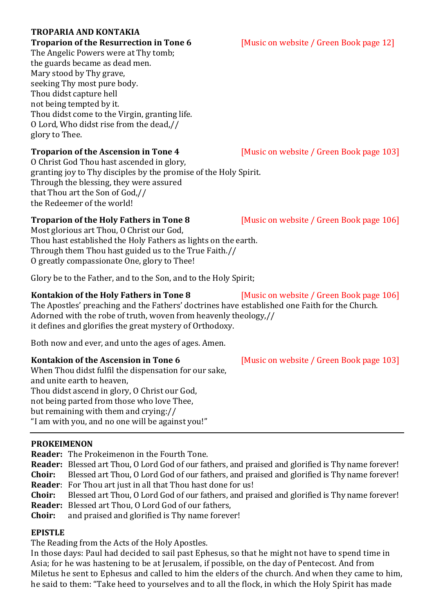## **TROPARIA AND KONTAKIA**

The Angelic Powers were at Thy tomb; the guards became as dead men. Mary stood by Thy grave, seeking Thy most pure body. Thou didst capture hell not being tempted by it. Thou didst come to the Virgin, granting life. O Lord, Who didst rise from the dead,// glory to Thee.

O Christ God Thou hast ascended in glory, granting joy to Thy disciples by the promise of the Holy Spirit. Through the blessing, they were assured that Thou art the Son of God,// the Redeemer of the world!

Most glorious art Thou, O Christ our God, Thou hast established the Holy Fathers as lights on the earth. Through them Thou hast guided us to the True Faith.// O greatly compassionate One, glory to Thee!

Glory be to the Father, and to the Son, and to the Holy Spirit;

## **Kontakion of the Holy Fathers in Tone 8** [Music on website / Green Book page 106]

The Apostles' preaching and the Fathers' doctrines have established one Faith for the Church. Adorned with the robe of truth, woven from heavenly theology,// it defines and glorifies the great mystery of Orthodoxy.

Both now and ever, and unto the ages of ages. Amen.

When Thou didst fulfil the dispensation for our sake, and unite earth to heaven, Thou didst ascend in glory, O Christ our God, not being parted from those who love Thee, but remaining with them and crying:// "I am with you, and no one will be against you!"

## **PROKEIMENON**

**Reader:** The Prokeimenon in the Fourth Tone.

**Reader:** Blessed art Thou, O Lord God of our fathers, and praised and glorified is Thy name forever! **Choir:** Blessed art Thou, O Lord God of our fathers, and praised and glorified is Thy name forever! **Reader**: For Thou art just in all that Thou hast done for us!

**Choir:** Blessed art Thou, O Lord God of our fathers, and praised and glorified is Thy name forever! **Reader:** Blessed art Thou, O Lord God of our fathers,

**Choir:** and praised and glorified is Thy name forever!

## **EPISTLE**

The Reading from the Acts of the Holy Apostles.

In those days: Paul had decided to sail past Ephesus, so that he might not have to spend time in Asia; for he was hastening to be at Jerusalem, if possible, on the day of Pentecost. And from Miletus he sent to Ephesus and called to him the elders of the church. And when they came to him, he said to them: "Take heed to yourselves and to all the flock, in which the Holy Spirit has made

**Troparion of the Resurrection in Tone 6** [Music on website / Green Book page 12]

**Troparion of the Ascension in Tone 4** [Music on website / Green Book page 103]

**Troparion of the Holy Fathers in Tone 8** [Music on website / Green Book page 106]

**Kontakion of the Ascension in Tone 6** [Music on website / Green Book page 103]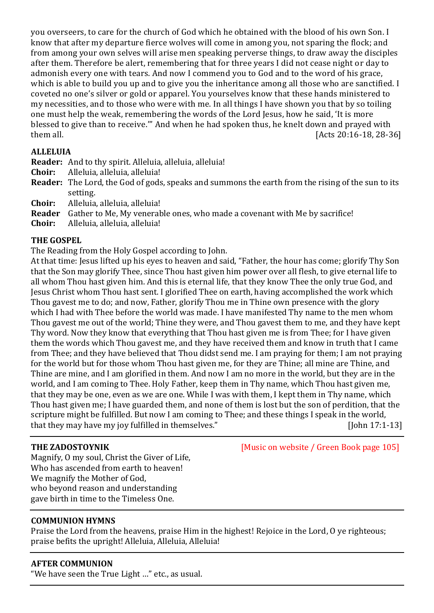you overseers, to care for the church of God which he obtained with the blood of his own Son. I know that after my departure fierce wolves will come in among you, not sparing the flock; and from among your own selves will arise men speaking perverse things, to draw away the disciples after them. Therefore be alert, remembering that for three years I did not cease night or day to admonish every one with tears. And now I commend you to God and to the word of his grace, which is able to build you up and to give you the inheritance among all those who are sanctified. I coveted no one's silver or gold or apparel. You yourselves know that these hands ministered to my necessities, and to those who were with me. In all things I have shown you that by so toiling one must help the weak, remembering the words of the Lord Jesus, how he said, 'It is more blessed to give than to receive.'" And when he had spoken thus, he knelt down and prayed with them all. [Acts 20:16-18, 28-36]

### **ALLELUIA**

**Reader:** And to thy spirit. Alleluia, alleluia, alleluia!

- **Choir:** Alleluia, alleluia, alleluia!
- **Reader:** The Lord, the God of gods, speaks and summons the earth from the rising of the sun to its setting.
- **Choir:** Alleluia, alleluia, alleluia!
- **Reader** Gather to Me, My venerable ones, who made a covenant with Me by sacrifice!
- **Choir:** Alleluia, alleluia, alleluia!

### **THE GOSPEL**

The Reading from the Holy Gospel according to John.

At that time: Jesus lifted up his eyes to heaven and said, "Father, the hour has come; glorify Thy Son that the Son may glorify Thee, since Thou hast given him power over all flesh, to give eternal life to all whom Thou hast given him. And this is eternal life, that they know Thee the only true God, and Jesus Christ whom Thou hast sent. I glorified Thee on earth, having accomplished the work which Thou gavest me to do; and now, Father, glorify Thou me in Thine own presence with the glory which I had with Thee before the world was made. I have manifested Thy name to the men whom Thou gavest me out of the world; Thine they were, and Thou gavest them to me, and they have kept Thy word. Now they know that everything that Thou hast given me is from Thee; for I have given them the words which Thou gavest me, and they have received them and know in truth that I came from Thee; and they have believed that Thou didst send me. I am praying for them; I am not praying for the world but for those whom Thou hast given me, for they are Thine; all mine are Thine, and Thine are mine, and I am glorified in them. And now I am no more in the world, but they are in the world, and I am coming to Thee. Holy Father, keep them in Thy name, which Thou hast given me, that they may be one, even as we are one. While I was with them, I kept them in Thy name, which Thou hast given me; I have guarded them, and none of them is lost but the son of perdition, that the scripture might be fulfilled. But now I am coming to Thee; and these things I speak in the world, that they may have my joy fulfilled in themselves." [John 17:1-13]

**THE ZADOSTOYNIK** [Music on website / Green Book page 105]

Magnify, O my soul, Christ the Giver of Life, Who has ascended from earth to heaven! We magnify the Mother of God, who beyond reason and understanding gave birth in time to the Timeless One.

### **COMMUNION HYMNS**

Praise the Lord from the heavens, praise Him in the highest! Rejoice in the Lord, O ye righteous; praise befits the upright! Alleluia, Alleluia, Alleluia!

### **AFTER COMMUNION**

"We have seen the True Light …" etc., as usual.